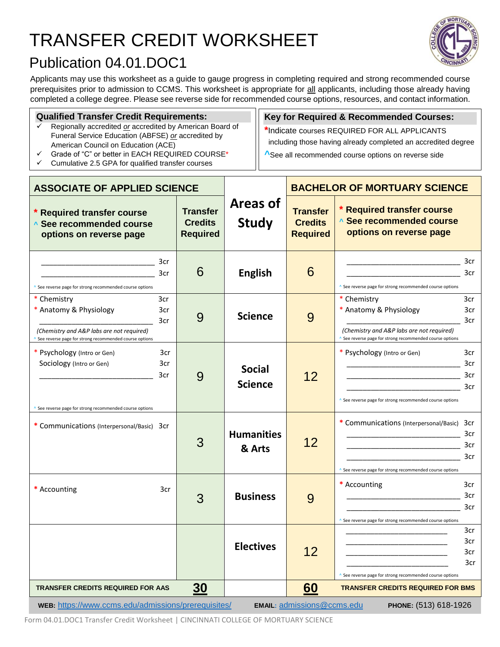# TRANSFER CREDIT WORKSHEET



## Publication 04.01.DOC1

Applicants may use this worksheet as a guide to gauge progress in completing required and strong recommended course prerequisites prior to admission to CCMS. This worksheet is appropriate for all applicants, including those already having completed a college degree. Please see reverse side for recommended course options, resources, and contact information.

**Qualified Transfer Credit Requirements:**

- Regionally accredited *or* accredited by American Board of Funeral Service Education (ABFSE) *or* accredited by American Council on Education (ACE)
- Grade of "C" or better in EACH REQUIRED COURSE\*
- Cumulative 2.5 GPA for qualified transfer courses

**Key for Required & Recommended Courses:**

**\***Indicate courses REQUIRED FOR ALL APPLICANTS

including those having already completed an accredited degree

**^**See all recommended course options on reverse side

| <b>ASSOCIATE OF APPLIED SCIENCE</b>                                                                                                          |                   |                                                      |                                 | <b>BACHELOR OF MORTUARY SCIENCE</b>                  |                                                                                                                                                                                                                  |                          |  |
|----------------------------------------------------------------------------------------------------------------------------------------------|-------------------|------------------------------------------------------|---------------------------------|------------------------------------------------------|------------------------------------------------------------------------------------------------------------------------------------------------------------------------------------------------------------------|--------------------------|--|
| * Required transfer course<br>A See recommended course<br>options on reverse page                                                            |                   | <b>Transfer</b><br><b>Credits</b><br><b>Required</b> | <b>Areas of</b><br><b>Study</b> | <b>Transfer</b><br><b>Credits</b><br><b>Required</b> | <b>Required transfer course</b><br>↑ See recommended course<br>options on reverse page                                                                                                                           |                          |  |
| ^ See reverse page for strong recommended course options                                                                                     | 3cr<br>3cr        | 6                                                    | <b>English</b>                  | 6                                                    | A See reverse page for strong recommended course options                                                                                                                                                         | 3cr<br>3cr               |  |
| * Chemistry<br>* Anatomy & Physiology<br>(Chemistry and A&P labs are not required)<br>See reverse page for strong recommended course options | 3cr<br>3cr<br>3cr | 9                                                    | <b>Science</b>                  | 9                                                    | * Chemistry<br>* Anatomy & Physiology<br>(Chemistry and A&P labs are not required)<br>See reverse page for strong recommended course options                                                                     | 3cr<br>3cr<br>3cr        |  |
| * Psychology (Intro or Gen)<br>Sociology (Intro or Gen)<br>See reverse page for strong recommended course options                            | 3cr<br>3cr<br>3cr | 9                                                    | <b>Social</b><br><b>Science</b> | 12                                                   | * Psychology (Intro or Gen)<br><u> 1980 - Johann Barn, mars eta bainar eta industrial eta industrial eta industrial eta industrial eta industria</u><br>^ See reverse page for strong recommended course options | 3cr<br>3cr<br>3cr<br>3cr |  |
| * Communications (Interpersonal/Basic) 3cr                                                                                                   |                   | 3                                                    | <b>Humanities</b><br>& Arts     | 12                                                   | * Communications (Interpersonal/Basic) 3cr<br><u> 1989 - Johann Barbara, martxa alemaniar a</u><br>^ See reverse page for strong recommended course options                                                      | 3cr<br>3cr<br>3cr        |  |
| * Accounting                                                                                                                                 | 3cr               | 3                                                    | <b>Business</b>                 | 9                                                    | * Accounting<br>^ See reverse page for strong recommended course options                                                                                                                                         | 3cr<br>3cr<br>3cr        |  |
|                                                                                                                                              |                   |                                                      | <b>Electives</b>                | 12                                                   | ^ See reverse page for strong recommended course options                                                                                                                                                         | 3cr<br>3cr<br>3cr<br>3cr |  |
| 30<br>TRANSFER CREDITS REQUIRED FOR AAS                                                                                                      |                   |                                                      |                                 | 60                                                   | <b>TRANSFER CREDITS REQUIRED FOR BMS</b>                                                                                                                                                                         |                          |  |
| WEB: https://www.ccms.edu/admissions/prerequisites/<br><b>EMAIL: admissions@ccms.edu</b><br>PHONE: (513) 618-1926                            |                   |                                                      |                                 |                                                      |                                                                                                                                                                                                                  |                          |  |

Form 04.01.DOC1 Transfer Credit Worksheet | CINCINNATI COLLEGE OF MORTUARY SCIENCE